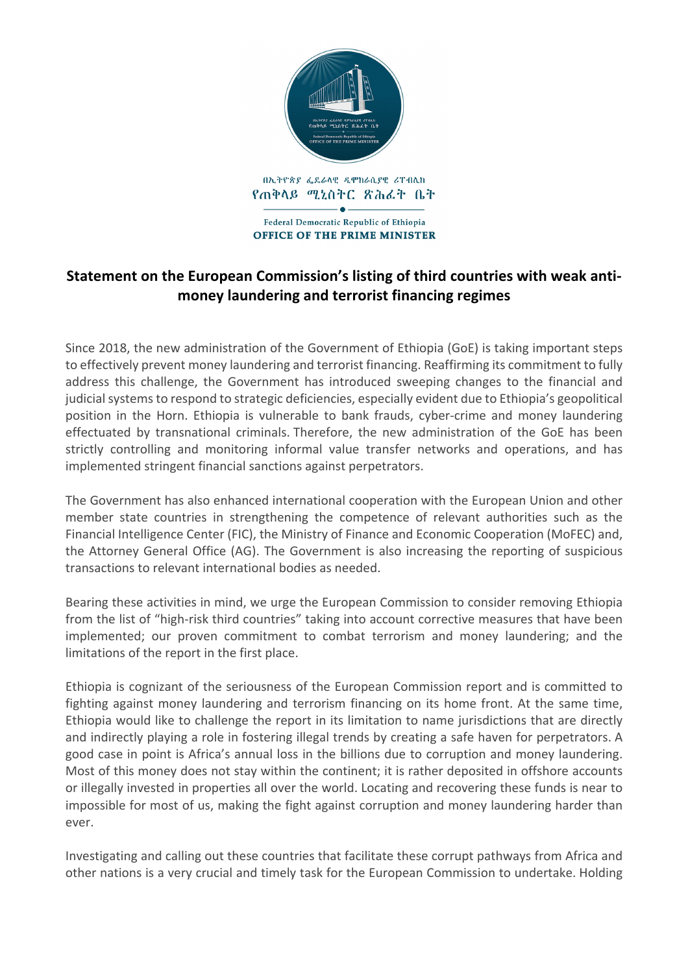

## **Statement on the European Commission's listing of third countries with weak antimoney laundering and terrorist financing regimes**

Since 2018, the new administration of the Government of Ethiopia (GoE) is taking important steps to effectively prevent money laundering and terrorist financing. Reaffirming its commitment to fully address this challenge, the Government has introduced sweeping changes to the financial and judicial systems to respond to strategic deficiencies, especially evident due to Ethiopia's geopolitical position in the Horn. Ethiopia is vulnerable to bank frauds, cyber-crime and money laundering effectuated by transnational criminals. Therefore, the new administration of the GoE has been strictly controlling and monitoring informal value transfer networks and operations, and has implemented stringent financial sanctions against perpetrators.

The Government has also enhanced international cooperation with the European Union and other member state countries in strengthening the competence of relevant authorities such as the Financial Intelligence Center (FIC), the Ministry of Finance and Economic Cooperation (MoFEC) and, the Attorney General Office (AG). The Government is also increasing the reporting of suspicious transactions to relevant international bodies as needed.

Bearing these activities in mind, we urge the European Commission to consider removing Ethiopia from the list of "high-risk third countries" taking into account corrective measures that have been implemented; our proven commitment to combat terrorism and money laundering; and the limitations of the report in the first place.

Ethiopia is cognizant of the seriousness of the European Commission report and is committed to fighting against money laundering and terrorism financing on its home front. At the same time, Ethiopia would like to challenge the report in its limitation to name jurisdictions that are directly and indirectly playing a role in fostering illegal trends by creating a safe haven for perpetrators. A good case in point is Africa's annual loss in the billions due to corruption and money laundering. Most of this money does not stay within the continent; it is rather deposited in offshore accounts or illegally invested in properties all over the world. Locating and recovering these funds is near to impossible for most of us, making the fight against corruption and money laundering harder than ever.

Investigating and calling out these countries that facilitate these corrupt pathways from Africa and other nations is a very crucial and timely task for the European Commission to undertake. Holding